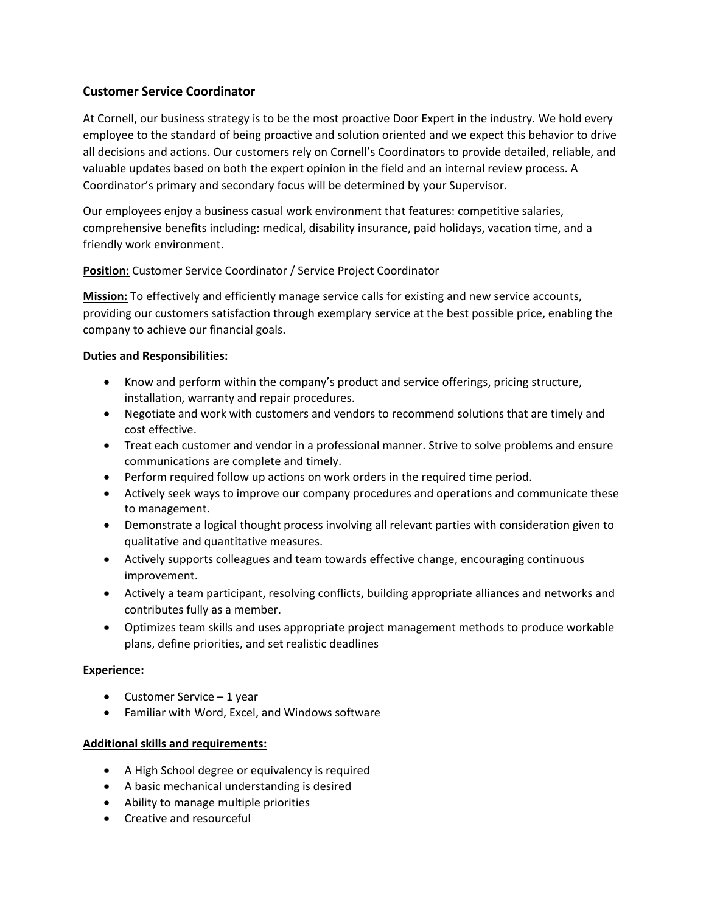## **Customer Service Coordinator**

At Cornell, our business strategy is to be the most proactive Door Expert in the industry. We hold every employee to the standard of being proactive and solution oriented and we expect this behavior to drive all decisions and actions. Our customers rely on Cornell's Coordinators to provide detailed, reliable, and valuable updates based on both the expert opinion in the field and an internal review process. A Coordinator's primary and secondary focus will be determined by your Supervisor.

Our employees enjoy a business casual work environment that features: competitive salaries, comprehensive benefits including: medical, disability insurance, paid holidays, vacation time, and a friendly work environment.

**Position:** Customer Service Coordinator / Service Project Coordinator

**Mission:** To effectively and efficiently manage service calls for existing and new service accounts, providing our customers satisfaction through exemplary service at the best possible price, enabling the company to achieve our financial goals.

## **Duties and Responsibilities:**

- Know and perform within the company's product and service offerings, pricing structure, installation, warranty and repair procedures.
- Negotiate and work with customers and vendors to recommend solutions that are timely and cost effective.
- Treat each customer and vendor in a professional manner. Strive to solve problems and ensure communications are complete and timely.
- Perform required follow up actions on work orders in the required time period.
- Actively seek ways to improve our company procedures and operations and communicate these to management.
- Demonstrate a logical thought process involving all relevant parties with consideration given to qualitative and quantitative measures.
- Actively supports colleagues and team towards effective change, encouraging continuous improvement.
- Actively a team participant, resolving conflicts, building appropriate alliances and networks and contributes fully as a member.
- Optimizes team skills and uses appropriate project management methods to produce workable plans, define priorities, and set realistic deadlines

## **Experience:**

- Customer Service 1 year
- Familiar with Word, Excel, and Windows software

## **Additional skills and requirements:**

- A High School degree or equivalency is required
- A basic mechanical understanding is desired
- Ability to manage multiple priorities
- Creative and resourceful